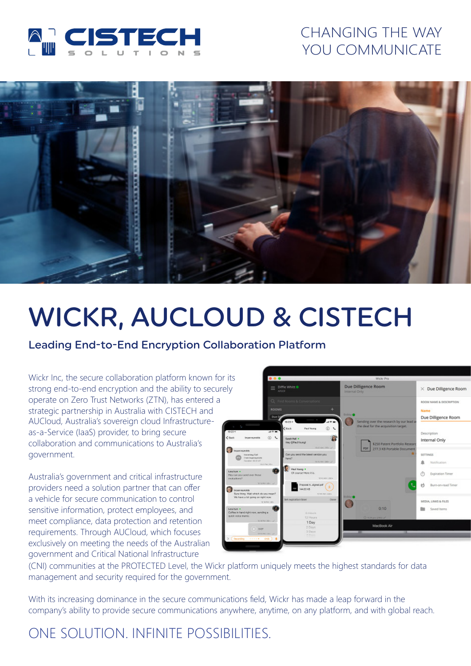

## CHANGING THE WAY YOU COMMUNICATE



# WICKR, AUCLOUD & CISTECH

#### Leading End-to-End Encryption Collaboration Platform

Wickr Inc, the secure collaboration platform known for its strong end-to-end encryption and the ability to securely operate on Zero Trust Networks (ZTN), has entered a strategic partnership in Australia with CISTECH and AUCloud, Australia's sovereign cloud Infrastructureas-a-Service (IaaS) provider, to bring secure collaboration and communications to Australia's government.

Australia's government and critical infrastructure providers need a solution partner that can offer a vehicle for secure communication to control sensitive information, protect employees, and meet compliance, data protection and retention requirements. Through AUCloud, which focuses exclusively on meeting the needs of the Australian government and Critical National Infrastructure



(CNI) communities at the PROTECTED Level, the Wickr platform uniquely meets the highest standards for data management and security required for the government.

With its increasing dominance in the secure communications field, Wickr has made a leap forward in the company's ability to provide secure communications anywhere, anytime, on any platform, and with global reach.

## ONE SOLUTION. INFINITE POSSIBILITIES.